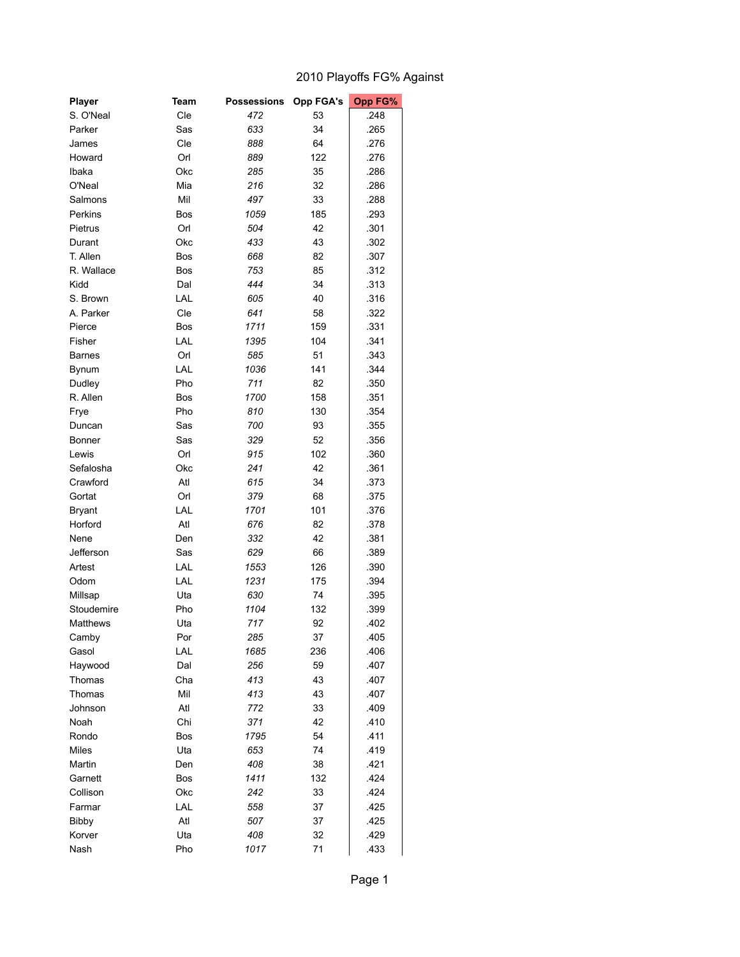## 2010 Playoffs FG% Against

| Cle<br>53<br>S. O'Neal<br>472<br>.248<br>Sas<br>633<br>34<br>.265<br>Parker<br>Cle<br>888<br>64<br>.276<br>James<br>Orl<br>889<br>122<br>.276<br>Howard<br>Okc<br>285<br>35<br>.286<br>Ibaka<br>Mia<br>O'Neal<br>216<br>32<br>.286<br>Mil<br>497<br>33<br>.288<br>Salmons<br>Bos<br>1059<br>185<br>.293<br>Perkins<br>Orl<br>504<br>42<br>.301<br>Pietrus<br>Okc<br>433<br>43<br>.302<br>Durant<br>T. Allen<br>668<br>82<br>.307<br>Bos<br>R. Wallace<br>753<br>85<br>.312<br>Bos<br>Kidd<br>Dal<br>444<br>34<br>.313<br>LAL<br>605<br>40<br>.316<br>S. Brown<br>Cle<br>641<br>58<br>A. Parker<br>.322<br>1711<br>.331<br>Pierce<br>Bos<br>159<br>LAL<br>104<br>.341<br>Fisher<br>1395<br>Orl<br>585<br>51<br>.343<br><b>Barnes</b><br>LAL<br>1036<br>.344<br>141<br>Bynum<br>Pho<br>711<br>Dudley<br>82<br>.350<br>1700<br>351<br>R. Allen<br>Bos<br>158<br>Pho<br>810<br>130<br>.354<br>Frye<br>Sas<br>700<br>93<br>.355<br>Duncan<br>Sas<br>329<br>52<br>.356<br><b>Bonner</b><br>Orl<br>915<br>102<br>.360<br>Lewis<br>Okc<br>241<br>42<br>.361<br>Sefalosha<br>Atl<br>615<br>34<br>.373<br>Crawford<br>Orl<br>379<br>68<br>.375<br>Gortat<br>LAL<br>1701<br>101<br><b>Bryant</b><br>.376<br>Atl<br>676<br>82<br>Horford<br>.378<br>332<br>42<br>Nene<br>Den<br>.381<br>Sas<br>629<br>66<br>.389<br>Jefferson<br>LAL<br>1553<br>126<br>.390<br>Artest<br>LAL<br>1231<br>Odom<br>175<br>.394<br>Uta<br>630<br>Millsap<br>74<br>.395<br>Pho<br>1104<br>132<br>.399<br>Stoudemire<br>717<br>92<br>Matthews<br>Uta<br>.402<br>.405<br>Por<br>285<br>37<br>Camby<br>LAL<br>236<br>Gasol<br>1685<br>.406<br>Dal<br>256<br>59<br>.407<br>Haywood<br>Cha<br>413<br>43<br>.407<br>Thomas<br>Mil<br>413<br>43<br>.407<br>Thomas<br>Atl<br>33<br>.409<br>Johnson<br>772<br>Chi<br>371<br>42<br>.410<br>Noah<br>Bos<br>1795<br>54<br>.411<br>Rondo<br>Uta<br>Miles<br>653<br>74<br>.419<br>408<br>Martin<br>Den<br>38<br>.421<br>Garnett<br>Bos<br>1411<br>132<br>.424<br>Okc<br>242<br>33<br>.424<br>Collison<br>LAL<br>37<br>558<br>.425<br>Farmar<br>Atl<br>507<br>37<br>.425<br><b>Bibby</b><br>Uta<br>408<br>32<br>.429<br>Korver<br>Nash<br>Pho<br>1017<br>71<br>.433 | Player | <b>Team</b> | <b>Possessions</b> | <b>Opp FGA's</b> | Opp FG% |
|---------------------------------------------------------------------------------------------------------------------------------------------------------------------------------------------------------------------------------------------------------------------------------------------------------------------------------------------------------------------------------------------------------------------------------------------------------------------------------------------------------------------------------------------------------------------------------------------------------------------------------------------------------------------------------------------------------------------------------------------------------------------------------------------------------------------------------------------------------------------------------------------------------------------------------------------------------------------------------------------------------------------------------------------------------------------------------------------------------------------------------------------------------------------------------------------------------------------------------------------------------------------------------------------------------------------------------------------------------------------------------------------------------------------------------------------------------------------------------------------------------------------------------------------------------------------------------------------------------------------------------------------------------------------------------------------------------------------------------------------------------------------------------------------------------------------------------------------------------------------------------------------------------------------------------------------------------------------------------------------------------------------------------------------------------------------------------------------------------------------------------------------------------------------|--------|-------------|--------------------|------------------|---------|
|                                                                                                                                                                                                                                                                                                                                                                                                                                                                                                                                                                                                                                                                                                                                                                                                                                                                                                                                                                                                                                                                                                                                                                                                                                                                                                                                                                                                                                                                                                                                                                                                                                                                                                                                                                                                                                                                                                                                                                                                                                                                                                                                                                     |        |             |                    |                  |         |
|                                                                                                                                                                                                                                                                                                                                                                                                                                                                                                                                                                                                                                                                                                                                                                                                                                                                                                                                                                                                                                                                                                                                                                                                                                                                                                                                                                                                                                                                                                                                                                                                                                                                                                                                                                                                                                                                                                                                                                                                                                                                                                                                                                     |        |             |                    |                  |         |
|                                                                                                                                                                                                                                                                                                                                                                                                                                                                                                                                                                                                                                                                                                                                                                                                                                                                                                                                                                                                                                                                                                                                                                                                                                                                                                                                                                                                                                                                                                                                                                                                                                                                                                                                                                                                                                                                                                                                                                                                                                                                                                                                                                     |        |             |                    |                  |         |
|                                                                                                                                                                                                                                                                                                                                                                                                                                                                                                                                                                                                                                                                                                                                                                                                                                                                                                                                                                                                                                                                                                                                                                                                                                                                                                                                                                                                                                                                                                                                                                                                                                                                                                                                                                                                                                                                                                                                                                                                                                                                                                                                                                     |        |             |                    |                  |         |
|                                                                                                                                                                                                                                                                                                                                                                                                                                                                                                                                                                                                                                                                                                                                                                                                                                                                                                                                                                                                                                                                                                                                                                                                                                                                                                                                                                                                                                                                                                                                                                                                                                                                                                                                                                                                                                                                                                                                                                                                                                                                                                                                                                     |        |             |                    |                  |         |
|                                                                                                                                                                                                                                                                                                                                                                                                                                                                                                                                                                                                                                                                                                                                                                                                                                                                                                                                                                                                                                                                                                                                                                                                                                                                                                                                                                                                                                                                                                                                                                                                                                                                                                                                                                                                                                                                                                                                                                                                                                                                                                                                                                     |        |             |                    |                  |         |
|                                                                                                                                                                                                                                                                                                                                                                                                                                                                                                                                                                                                                                                                                                                                                                                                                                                                                                                                                                                                                                                                                                                                                                                                                                                                                                                                                                                                                                                                                                                                                                                                                                                                                                                                                                                                                                                                                                                                                                                                                                                                                                                                                                     |        |             |                    |                  |         |
|                                                                                                                                                                                                                                                                                                                                                                                                                                                                                                                                                                                                                                                                                                                                                                                                                                                                                                                                                                                                                                                                                                                                                                                                                                                                                                                                                                                                                                                                                                                                                                                                                                                                                                                                                                                                                                                                                                                                                                                                                                                                                                                                                                     |        |             |                    |                  |         |
|                                                                                                                                                                                                                                                                                                                                                                                                                                                                                                                                                                                                                                                                                                                                                                                                                                                                                                                                                                                                                                                                                                                                                                                                                                                                                                                                                                                                                                                                                                                                                                                                                                                                                                                                                                                                                                                                                                                                                                                                                                                                                                                                                                     |        |             |                    |                  |         |
|                                                                                                                                                                                                                                                                                                                                                                                                                                                                                                                                                                                                                                                                                                                                                                                                                                                                                                                                                                                                                                                                                                                                                                                                                                                                                                                                                                                                                                                                                                                                                                                                                                                                                                                                                                                                                                                                                                                                                                                                                                                                                                                                                                     |        |             |                    |                  |         |
|                                                                                                                                                                                                                                                                                                                                                                                                                                                                                                                                                                                                                                                                                                                                                                                                                                                                                                                                                                                                                                                                                                                                                                                                                                                                                                                                                                                                                                                                                                                                                                                                                                                                                                                                                                                                                                                                                                                                                                                                                                                                                                                                                                     |        |             |                    |                  |         |
|                                                                                                                                                                                                                                                                                                                                                                                                                                                                                                                                                                                                                                                                                                                                                                                                                                                                                                                                                                                                                                                                                                                                                                                                                                                                                                                                                                                                                                                                                                                                                                                                                                                                                                                                                                                                                                                                                                                                                                                                                                                                                                                                                                     |        |             |                    |                  |         |
|                                                                                                                                                                                                                                                                                                                                                                                                                                                                                                                                                                                                                                                                                                                                                                                                                                                                                                                                                                                                                                                                                                                                                                                                                                                                                                                                                                                                                                                                                                                                                                                                                                                                                                                                                                                                                                                                                                                                                                                                                                                                                                                                                                     |        |             |                    |                  |         |
|                                                                                                                                                                                                                                                                                                                                                                                                                                                                                                                                                                                                                                                                                                                                                                                                                                                                                                                                                                                                                                                                                                                                                                                                                                                                                                                                                                                                                                                                                                                                                                                                                                                                                                                                                                                                                                                                                                                                                                                                                                                                                                                                                                     |        |             |                    |                  |         |
|                                                                                                                                                                                                                                                                                                                                                                                                                                                                                                                                                                                                                                                                                                                                                                                                                                                                                                                                                                                                                                                                                                                                                                                                                                                                                                                                                                                                                                                                                                                                                                                                                                                                                                                                                                                                                                                                                                                                                                                                                                                                                                                                                                     |        |             |                    |                  |         |
|                                                                                                                                                                                                                                                                                                                                                                                                                                                                                                                                                                                                                                                                                                                                                                                                                                                                                                                                                                                                                                                                                                                                                                                                                                                                                                                                                                                                                                                                                                                                                                                                                                                                                                                                                                                                                                                                                                                                                                                                                                                                                                                                                                     |        |             |                    |                  |         |
|                                                                                                                                                                                                                                                                                                                                                                                                                                                                                                                                                                                                                                                                                                                                                                                                                                                                                                                                                                                                                                                                                                                                                                                                                                                                                                                                                                                                                                                                                                                                                                                                                                                                                                                                                                                                                                                                                                                                                                                                                                                                                                                                                                     |        |             |                    |                  |         |
|                                                                                                                                                                                                                                                                                                                                                                                                                                                                                                                                                                                                                                                                                                                                                                                                                                                                                                                                                                                                                                                                                                                                                                                                                                                                                                                                                                                                                                                                                                                                                                                                                                                                                                                                                                                                                                                                                                                                                                                                                                                                                                                                                                     |        |             |                    |                  |         |
|                                                                                                                                                                                                                                                                                                                                                                                                                                                                                                                                                                                                                                                                                                                                                                                                                                                                                                                                                                                                                                                                                                                                                                                                                                                                                                                                                                                                                                                                                                                                                                                                                                                                                                                                                                                                                                                                                                                                                                                                                                                                                                                                                                     |        |             |                    |                  |         |
|                                                                                                                                                                                                                                                                                                                                                                                                                                                                                                                                                                                                                                                                                                                                                                                                                                                                                                                                                                                                                                                                                                                                                                                                                                                                                                                                                                                                                                                                                                                                                                                                                                                                                                                                                                                                                                                                                                                                                                                                                                                                                                                                                                     |        |             |                    |                  |         |
|                                                                                                                                                                                                                                                                                                                                                                                                                                                                                                                                                                                                                                                                                                                                                                                                                                                                                                                                                                                                                                                                                                                                                                                                                                                                                                                                                                                                                                                                                                                                                                                                                                                                                                                                                                                                                                                                                                                                                                                                                                                                                                                                                                     |        |             |                    |                  |         |
|                                                                                                                                                                                                                                                                                                                                                                                                                                                                                                                                                                                                                                                                                                                                                                                                                                                                                                                                                                                                                                                                                                                                                                                                                                                                                                                                                                                                                                                                                                                                                                                                                                                                                                                                                                                                                                                                                                                                                                                                                                                                                                                                                                     |        |             |                    |                  |         |
|                                                                                                                                                                                                                                                                                                                                                                                                                                                                                                                                                                                                                                                                                                                                                                                                                                                                                                                                                                                                                                                                                                                                                                                                                                                                                                                                                                                                                                                                                                                                                                                                                                                                                                                                                                                                                                                                                                                                                                                                                                                                                                                                                                     |        |             |                    |                  |         |
|                                                                                                                                                                                                                                                                                                                                                                                                                                                                                                                                                                                                                                                                                                                                                                                                                                                                                                                                                                                                                                                                                                                                                                                                                                                                                                                                                                                                                                                                                                                                                                                                                                                                                                                                                                                                                                                                                                                                                                                                                                                                                                                                                                     |        |             |                    |                  |         |
|                                                                                                                                                                                                                                                                                                                                                                                                                                                                                                                                                                                                                                                                                                                                                                                                                                                                                                                                                                                                                                                                                                                                                                                                                                                                                                                                                                                                                                                                                                                                                                                                                                                                                                                                                                                                                                                                                                                                                                                                                                                                                                                                                                     |        |             |                    |                  |         |
|                                                                                                                                                                                                                                                                                                                                                                                                                                                                                                                                                                                                                                                                                                                                                                                                                                                                                                                                                                                                                                                                                                                                                                                                                                                                                                                                                                                                                                                                                                                                                                                                                                                                                                                                                                                                                                                                                                                                                                                                                                                                                                                                                                     |        |             |                    |                  |         |
|                                                                                                                                                                                                                                                                                                                                                                                                                                                                                                                                                                                                                                                                                                                                                                                                                                                                                                                                                                                                                                                                                                                                                                                                                                                                                                                                                                                                                                                                                                                                                                                                                                                                                                                                                                                                                                                                                                                                                                                                                                                                                                                                                                     |        |             |                    |                  |         |
|                                                                                                                                                                                                                                                                                                                                                                                                                                                                                                                                                                                                                                                                                                                                                                                                                                                                                                                                                                                                                                                                                                                                                                                                                                                                                                                                                                                                                                                                                                                                                                                                                                                                                                                                                                                                                                                                                                                                                                                                                                                                                                                                                                     |        |             |                    |                  |         |
|                                                                                                                                                                                                                                                                                                                                                                                                                                                                                                                                                                                                                                                                                                                                                                                                                                                                                                                                                                                                                                                                                                                                                                                                                                                                                                                                                                                                                                                                                                                                                                                                                                                                                                                                                                                                                                                                                                                                                                                                                                                                                                                                                                     |        |             |                    |                  |         |
|                                                                                                                                                                                                                                                                                                                                                                                                                                                                                                                                                                                                                                                                                                                                                                                                                                                                                                                                                                                                                                                                                                                                                                                                                                                                                                                                                                                                                                                                                                                                                                                                                                                                                                                                                                                                                                                                                                                                                                                                                                                                                                                                                                     |        |             |                    |                  |         |
|                                                                                                                                                                                                                                                                                                                                                                                                                                                                                                                                                                                                                                                                                                                                                                                                                                                                                                                                                                                                                                                                                                                                                                                                                                                                                                                                                                                                                                                                                                                                                                                                                                                                                                                                                                                                                                                                                                                                                                                                                                                                                                                                                                     |        |             |                    |                  |         |
|                                                                                                                                                                                                                                                                                                                                                                                                                                                                                                                                                                                                                                                                                                                                                                                                                                                                                                                                                                                                                                                                                                                                                                                                                                                                                                                                                                                                                                                                                                                                                                                                                                                                                                                                                                                                                                                                                                                                                                                                                                                                                                                                                                     |        |             |                    |                  |         |
|                                                                                                                                                                                                                                                                                                                                                                                                                                                                                                                                                                                                                                                                                                                                                                                                                                                                                                                                                                                                                                                                                                                                                                                                                                                                                                                                                                                                                                                                                                                                                                                                                                                                                                                                                                                                                                                                                                                                                                                                                                                                                                                                                                     |        |             |                    |                  |         |
|                                                                                                                                                                                                                                                                                                                                                                                                                                                                                                                                                                                                                                                                                                                                                                                                                                                                                                                                                                                                                                                                                                                                                                                                                                                                                                                                                                                                                                                                                                                                                                                                                                                                                                                                                                                                                                                                                                                                                                                                                                                                                                                                                                     |        |             |                    |                  |         |
|                                                                                                                                                                                                                                                                                                                                                                                                                                                                                                                                                                                                                                                                                                                                                                                                                                                                                                                                                                                                                                                                                                                                                                                                                                                                                                                                                                                                                                                                                                                                                                                                                                                                                                                                                                                                                                                                                                                                                                                                                                                                                                                                                                     |        |             |                    |                  |         |
|                                                                                                                                                                                                                                                                                                                                                                                                                                                                                                                                                                                                                                                                                                                                                                                                                                                                                                                                                                                                                                                                                                                                                                                                                                                                                                                                                                                                                                                                                                                                                                                                                                                                                                                                                                                                                                                                                                                                                                                                                                                                                                                                                                     |        |             |                    |                  |         |
|                                                                                                                                                                                                                                                                                                                                                                                                                                                                                                                                                                                                                                                                                                                                                                                                                                                                                                                                                                                                                                                                                                                                                                                                                                                                                                                                                                                                                                                                                                                                                                                                                                                                                                                                                                                                                                                                                                                                                                                                                                                                                                                                                                     |        |             |                    |                  |         |
|                                                                                                                                                                                                                                                                                                                                                                                                                                                                                                                                                                                                                                                                                                                                                                                                                                                                                                                                                                                                                                                                                                                                                                                                                                                                                                                                                                                                                                                                                                                                                                                                                                                                                                                                                                                                                                                                                                                                                                                                                                                                                                                                                                     |        |             |                    |                  |         |
|                                                                                                                                                                                                                                                                                                                                                                                                                                                                                                                                                                                                                                                                                                                                                                                                                                                                                                                                                                                                                                                                                                                                                                                                                                                                                                                                                                                                                                                                                                                                                                                                                                                                                                                                                                                                                                                                                                                                                                                                                                                                                                                                                                     |        |             |                    |                  |         |
|                                                                                                                                                                                                                                                                                                                                                                                                                                                                                                                                                                                                                                                                                                                                                                                                                                                                                                                                                                                                                                                                                                                                                                                                                                                                                                                                                                                                                                                                                                                                                                                                                                                                                                                                                                                                                                                                                                                                                                                                                                                                                                                                                                     |        |             |                    |                  |         |
|                                                                                                                                                                                                                                                                                                                                                                                                                                                                                                                                                                                                                                                                                                                                                                                                                                                                                                                                                                                                                                                                                                                                                                                                                                                                                                                                                                                                                                                                                                                                                                                                                                                                                                                                                                                                                                                                                                                                                                                                                                                                                                                                                                     |        |             |                    |                  |         |
|                                                                                                                                                                                                                                                                                                                                                                                                                                                                                                                                                                                                                                                                                                                                                                                                                                                                                                                                                                                                                                                                                                                                                                                                                                                                                                                                                                                                                                                                                                                                                                                                                                                                                                                                                                                                                                                                                                                                                                                                                                                                                                                                                                     |        |             |                    |                  |         |
|                                                                                                                                                                                                                                                                                                                                                                                                                                                                                                                                                                                                                                                                                                                                                                                                                                                                                                                                                                                                                                                                                                                                                                                                                                                                                                                                                                                                                                                                                                                                                                                                                                                                                                                                                                                                                                                                                                                                                                                                                                                                                                                                                                     |        |             |                    |                  |         |
|                                                                                                                                                                                                                                                                                                                                                                                                                                                                                                                                                                                                                                                                                                                                                                                                                                                                                                                                                                                                                                                                                                                                                                                                                                                                                                                                                                                                                                                                                                                                                                                                                                                                                                                                                                                                                                                                                                                                                                                                                                                                                                                                                                     |        |             |                    |                  |         |
|                                                                                                                                                                                                                                                                                                                                                                                                                                                                                                                                                                                                                                                                                                                                                                                                                                                                                                                                                                                                                                                                                                                                                                                                                                                                                                                                                                                                                                                                                                                                                                                                                                                                                                                                                                                                                                                                                                                                                                                                                                                                                                                                                                     |        |             |                    |                  |         |
|                                                                                                                                                                                                                                                                                                                                                                                                                                                                                                                                                                                                                                                                                                                                                                                                                                                                                                                                                                                                                                                                                                                                                                                                                                                                                                                                                                                                                                                                                                                                                                                                                                                                                                                                                                                                                                                                                                                                                                                                                                                                                                                                                                     |        |             |                    |                  |         |
|                                                                                                                                                                                                                                                                                                                                                                                                                                                                                                                                                                                                                                                                                                                                                                                                                                                                                                                                                                                                                                                                                                                                                                                                                                                                                                                                                                                                                                                                                                                                                                                                                                                                                                                                                                                                                                                                                                                                                                                                                                                                                                                                                                     |        |             |                    |                  |         |
|                                                                                                                                                                                                                                                                                                                                                                                                                                                                                                                                                                                                                                                                                                                                                                                                                                                                                                                                                                                                                                                                                                                                                                                                                                                                                                                                                                                                                                                                                                                                                                                                                                                                                                                                                                                                                                                                                                                                                                                                                                                                                                                                                                     |        |             |                    |                  |         |
|                                                                                                                                                                                                                                                                                                                                                                                                                                                                                                                                                                                                                                                                                                                                                                                                                                                                                                                                                                                                                                                                                                                                                                                                                                                                                                                                                                                                                                                                                                                                                                                                                                                                                                                                                                                                                                                                                                                                                                                                                                                                                                                                                                     |        |             |                    |                  |         |
|                                                                                                                                                                                                                                                                                                                                                                                                                                                                                                                                                                                                                                                                                                                                                                                                                                                                                                                                                                                                                                                                                                                                                                                                                                                                                                                                                                                                                                                                                                                                                                                                                                                                                                                                                                                                                                                                                                                                                                                                                                                                                                                                                                     |        |             |                    |                  |         |
|                                                                                                                                                                                                                                                                                                                                                                                                                                                                                                                                                                                                                                                                                                                                                                                                                                                                                                                                                                                                                                                                                                                                                                                                                                                                                                                                                                                                                                                                                                                                                                                                                                                                                                                                                                                                                                                                                                                                                                                                                                                                                                                                                                     |        |             |                    |                  |         |
|                                                                                                                                                                                                                                                                                                                                                                                                                                                                                                                                                                                                                                                                                                                                                                                                                                                                                                                                                                                                                                                                                                                                                                                                                                                                                                                                                                                                                                                                                                                                                                                                                                                                                                                                                                                                                                                                                                                                                                                                                                                                                                                                                                     |        |             |                    |                  |         |
|                                                                                                                                                                                                                                                                                                                                                                                                                                                                                                                                                                                                                                                                                                                                                                                                                                                                                                                                                                                                                                                                                                                                                                                                                                                                                                                                                                                                                                                                                                                                                                                                                                                                                                                                                                                                                                                                                                                                                                                                                                                                                                                                                                     |        |             |                    |                  |         |
|                                                                                                                                                                                                                                                                                                                                                                                                                                                                                                                                                                                                                                                                                                                                                                                                                                                                                                                                                                                                                                                                                                                                                                                                                                                                                                                                                                                                                                                                                                                                                                                                                                                                                                                                                                                                                                                                                                                                                                                                                                                                                                                                                                     |        |             |                    |                  |         |